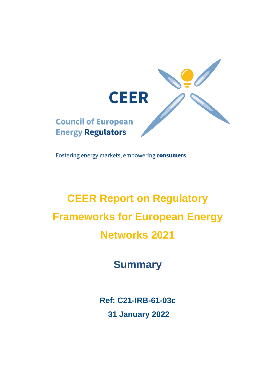

Fostering energy markets, empowering consumers.

# **CEER Report on Regulatory Frameworks for European Energy Networks 2021**

**Summary**

**Ref: C21-IRB-61-03c 31 January 2022**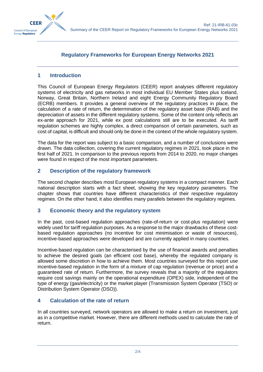

### **Regulatory Frameworks for European Energy Networks 2021**

#### **1 Introduction**

This Council of European Energy Regulators (CEER) report analyses different regulatory systems of electricity and gas networks in most individual EU Member States plus Iceland, Norway, Great Britain, Northern Ireland and eight Energy Community Regulatory Board (ECRB) members. It provides a general overview of the regulatory practices in place, the calculation of a rate of return, the determination of the regulatory asset base (RAB) and the depreciation of assets in the different regulatory systems. Some of the content only reflects an ex-ante approach for 2021, while ex post calculations still are to be executed. As tariff regulation schemes are highly complex, a direct comparison of certain parameters, such as cost of capital, is difficult and should only be done in the context of the whole regulatory system.

The data for the report was subject to a basic comparison, and a number of conclusions were drawn. The data collection, covering the current regulatory regimes in 2021, took place in the first half of 2021. In comparison to the previous reports from 2014 to 2020, no major changes were found in respect of the most important parameters.

#### **2 Description of the regulatory framework**

The second chapter describes most European regulatory systems in a compact manner. Each national description starts with a fact sheet, showing the key regulatory parameters. The chapter shows that countries have different characteristics of their respective regulatory regimes. On the other hand, it also identifies many parallels between the regulatory regimes.

#### **3 Economic theory and the regulatory system**

In the past, cost-based regulation approaches (rate-of-return or cost-plus regulation) were widely used for tariff regulation purposes. As a response to the major drawbacks of these costbased regulation approaches (no incentive for cost minimisation or waste of resources), incentive-based approaches were developed and are currently applied in many countries.

Incentive-based regulation can be characterised by the use of financial awards and penalties to achieve the desired goals (an efficient cost base), whereby the regulated company is allowed some discretion in how to achieve them. Most countries surveyed for this report use incentive-based regulation in the form of a mixture of cap regulation (revenue or price) and a guaranteed rate of return. Furthermore, the survey reveals that a majority of the regulators require cost savings mainly on the operational expenditure (OPEX) side, independent of the type of energy (gas/electricity) or the market player (Transmission System Operator (TSO) or Distribution System Operator (DSO)).

#### **4 Calculation of the rate of return**

In all countries surveyed, network operators are allowed to make a return on investment, just as in a competitive market. However, there are different methods used to calculate the rate of return.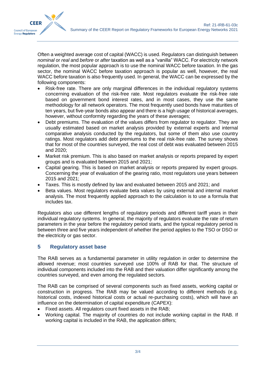

Often a weighted average cost of capital (WACC) is used. Regulators can distinguish between *nominal* or *real* and *before* or *after* taxation as well as a "vanilla" WACC. For electricity network regulation, the most popular approach is to use the nominal WACC before taxation. In the gas sector, the nominal WACC before taxation approach is popular as well, however, the real WACC before taxation is also frequently used. In general, the WACC can be expressed by the following components:

- Risk-free rate. There are only marginal differences in the individual regulatory systems concerning evaluation of the risk-free rate. Most regulators evaluate the risk-free rate based on government bond interest rates, and in most cases, they use the same methodology for all network operators. The most frequently used bonds have maturities of ten years, but five-year bonds also appear and there is a high usage of historical averages, however, without conformity regarding the years of these averages;
- Debt premiums. The evaluation of the values differs from regulator to regulator. They are usually estimated based on market analysis provided by external experts and internal comparative analysis conducted by the regulators, but some of them also use country ratings. Most regulators add debt premiums to the real risk-free rate. The survey shows that for most of the countries surveyed, the real cost of debt was evaluated between 2015 and 2020;
- Market risk premium. This is also based on market analysis or reports prepared by expert groups and is evaluated between 2015 and 2021;
- Capital gearing. This is based on market analysis or reports prepared by expert groups. Concerning the year of evaluation of the gearing ratio, most regulators use years between 2015 and 2021;
- Taxes. This is mostly defined by law and evaluated between 2015 and 2021; and
- Beta values. Most regulators evaluate beta values by using external and internal market analysis. The most frequently applied approach to the calculation is to use a formula that includes tax.

Regulators also use different lengths of regulatory periods and different tariff years in their individual regulatory systems. In general, the majority of regulators evaluate the rate of return parameters in the year before the regulatory period starts, and the typical regulatory period is between three and five years independent of whether the period applies to the TSO or DSO or the electricity or gas sector.

## **5 Regulatory asset base**

The RAB serves as a fundamental parameter in utility regulation in order to determine the allowed revenue; most countries surveyed use 100% of RAB for that. The structure of individual components included into the RAB and their valuation differ significantly among the countries surveyed, and even among the regulated sectors.

The RAB can be comprised of several components such as fixed assets, working capital or construction in progress. The RAB may be valued according to different methods (e.g. historical costs, indexed historical costs or actual re-purchasing costs), which will have an influence on the determination of capital expenditure (CAPEX):

- Fixed assets. All regulators count fixed assets in the RAB;
- Working capital. The majority of countries do not include working capital in the RAB. If working capital is included in the RAB, the application differs;